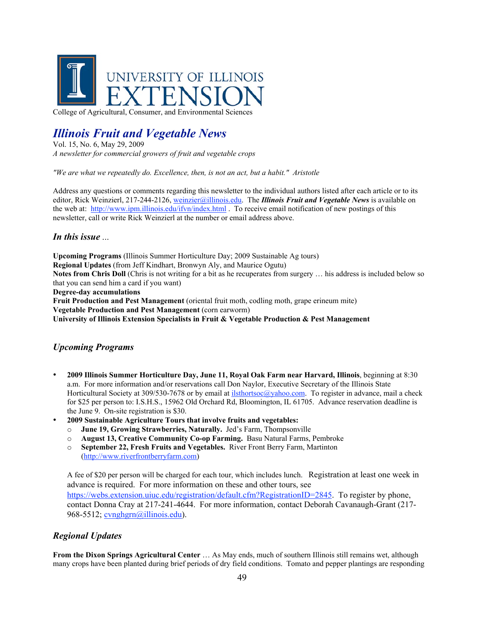

College of Agricultural, Consumer, and Environmental Sciences

# *Illinois Fruit and Vegetable News*

Vol. 15, No. 6, May 29, 2009 *A newsletter for commercial growers of fruit and vegetable crops*

*"We are what we repeatedly do. Excellence, then, is not an act, but a habit." Aristotle*

Address any questions or comments regarding this newsletter to the individual authors listed after each article or to its editor, Rick Weinzierl, 217-244-2126, weinzier@illinois.edu. The *Illinois Fruit and Vegetable News* is available on the web at: http://www.ipm.illinois.edu/ifvn/index.html . To receive email notification of new postings of this newsletter, call or write Rick Weinzierl at the number or email address above.

## *In this issue ...*

**Upcoming Programs** (Illinois Summer Horticulture Day; 2009 Sustainable Ag tours) **Regional Updates** (from Jeff Kindhart, Bronwyn Aly, and Maurice Ogutu)

**Notes from Chris Doll** (Chris is not writing for a bit as he recuperates from surgery … his address is included below so that you can send him a card if you want)

**Degree-day accumulations**

**Fruit Production and Pest Management** (oriental fruit moth, codling moth, grape erineum mite)

**Vegetable Production and Pest Management** (corn earworm)

**University of Illinois Extension Specialists in Fruit & Vegetable Production & Pest Management**

## *Upcoming Programs*

- **2009 Illinois Summer Horticulture Day, June 11, Royal Oak Farm near Harvard, Illinois**, beginning at 8:30 a.m. For more information and/or reservations call Don Naylor, Executive Secretary of the Illinois State Horticultural Society at 309/530-7678 or by email at *ilsthortsoc@yahoo.com*. To register in advance, mail a check for \$25 per person to: I.S.H.S., 15962 Old Orchard Rd, Bloomington, IL 61705. Advance reservation deadline is the June 9. On-site registration is \$30.
- **2009 Sustainable Agriculture Tours that involve fruits and vegetables:**
	- o **June 19, Growing Strawberries, Naturally.** Jed's Farm, Thompsonville
	- o **August 13, Creative Community Co-op Farming.** Basu Natural Farms, Pembroke
	- o **September 22, Fresh Fruits and Vegetables.** River Front Berry Farm, Martinton (http://www.riverfrontberryfarm.com)

A fee of \$20 per person will be charged for each tour, which includes lunch. Registration at least one week in advance is required. For more information on these and other tours, see https://webs.extension.uiuc.edu/registration/default.cfm?RegistrationID=2845. To register by phone, contact Donna Cray at 217-241-4644. For more information, contact Deborah Cavanaugh-Grant (217- 968-5512; cvnghgrn@illinois.edu).

## *Regional Updates*

**From the Dixon Springs Agricultural Center** … As May ends, much of southern Illinois still remains wet, although many crops have been planted during brief periods of dry field conditions. Tomato and pepper plantings are responding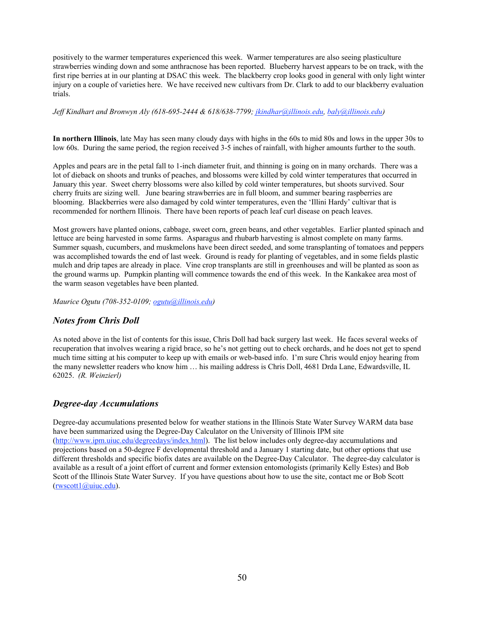positively to the warmer temperatures experienced this week. Warmer temperatures are also seeing plasticulture strawberries winding down and some anthracnose has been reported. Blueberry harvest appears to be on track, with the first ripe berries at in our planting at DSAC this week. The blackberry crop looks good in general with only light winter injury on a couple of varieties here. We have received new cultivars from Dr. Clark to add to our blackberry evaluation trials.

*Jeff Kindhart and Bronwyn Aly (618-695-2444 & 618/638-7799; jkindhar@illinois.edu, baly@illinois.edu)*

**In northern Illinois**, late May has seen many cloudy days with highs in the 60s to mid 80s and lows in the upper 30s to low 60s. During the same period, the region received 3-5 inches of rainfall, with higher amounts further to the south.

Apples and pears are in the petal fall to 1-inch diameter fruit, and thinning is going on in many orchards. There was a lot of dieback on shoots and trunks of peaches, and blossoms were killed by cold winter temperatures that occurred in January this year. Sweet cherry blossoms were also killed by cold winter temperatures, but shoots survived. Sour cherry fruits are sizing well. June bearing strawberries are in full bloom, and summer bearing raspberries are blooming. Blackberries were also damaged by cold winter temperatures, even the 'Illini Hardy' cultivar that is recommended for northern Illinois. There have been reports of peach leaf curl disease on peach leaves.

Most growers have planted onions, cabbage, sweet corn, green beans, and other vegetables. Earlier planted spinach and lettuce are being harvested in some farms. Asparagus and rhubarb harvesting is almost complete on many farms. Summer squash, cucumbers, and muskmelons have been direct seeded, and some transplanting of tomatoes and peppers was accomplished towards the end of last week. Ground is ready for planting of vegetables, and in some fields plastic mulch and drip tapes are already in place. Vine crop transplants are still in greenhouses and will be planted as soon as the ground warms up. Pumpkin planting will commence towards the end of this week. In the Kankakee area most of the warm season vegetables have been planted.

*Maurice Ogutu (708-352-0109; ogutu@illinois.edu)*

### *Notes from Chris Doll*

As noted above in the list of contents for this issue, Chris Doll had back surgery last week. He faces several weeks of recuperation that involves wearing a rigid brace, so he's not getting out to check orchards, and he does not get to spend much time sitting at his computer to keep up with emails or web-based info. I'm sure Chris would enjoy hearing from the many newsletter readers who know him … his mailing address is Chris Doll, 4681 Drda Lane, Edwardsville, IL 62025. *(R. Weinzierl)*

## *Degree-day Accumulations*

Degree-day accumulations presented below for weather stations in the Illinois State Water Survey WARM data base have been summarized using the Degree-Day Calculator on the University of Illinois IPM site (http://www.ipm.uiuc.edu/degreedays/index.html). The list below includes only degree-day accumulations and projections based on a 50-degree F developmental threshold and a January 1 starting date, but other options that use different thresholds and specific biofix dates are available on the Degree-Day Calculator. The degree-day calculator is available as a result of a joint effort of current and former extension entomologists (primarily Kelly Estes) and Bob Scott of the Illinois State Water Survey. If you have questions about how to use the site, contact me or Bob Scott (rwscott1@uiuc.edu).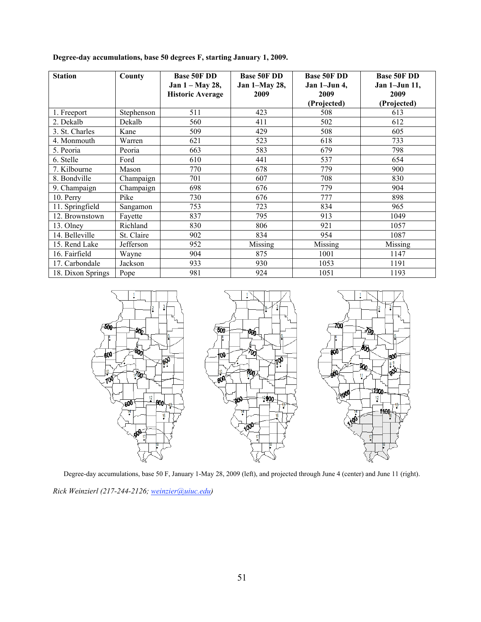| <b>Station</b>    | County     | <b>Base 50F DD</b>      | <b>Base 50F DD</b> | <b>Base 50F DD</b> | <b>Base 50F DD</b> |
|-------------------|------------|-------------------------|--------------------|--------------------|--------------------|
|                   |            | Jan 1 - May 28,         | Jan 1-May 28,      | Jan 1-Jun 4,       | Jan 1-Jun 11,      |
|                   |            | <b>Historic Average</b> | 2009               | 2009               | 2009               |
|                   |            |                         |                    | (Projected)        | (Projected)        |
| 1. Freeport       | Stephenson | 511                     | 423                | 508                | 613                |
| 2. Dekalb         | Dekalb     | 560                     | 411                | 502                | 612                |
| 3. St. Charles    | Kane       | 509                     | 429                | 508                | 605                |
| 4. Monmouth       | Warren     | 621                     | 523                | 618                | 733                |
| 5. Peoria         | Peoria     | 663                     | 583                | 679                | 798                |
| 6. Stelle         | Ford       | 610                     | 441                | 537                | 654                |
| 7. Kilbourne      | Mason      | 770                     | 678                | 779                | 900                |
| 8. Bondville      | Champaign  | 701                     | 607                | 708                | 830                |
| 9. Champaign      | Champaign  | 698                     | 676                | 779                | 904                |
| $10.$ Perry       | Pike       | 730                     | 676                | 777                | 898                |
| 11. Springfield   | Sangamon   | 753                     | 723                | 834                | 965                |
| 12. Brownstown    | Fayette    | 837                     | 795                | 913                | 1049               |
| 13. Olney         | Richland   | 830                     | 806                | 921                | 1057               |
| 14. Belleville    | St. Claire | 902                     | 834                | 954                | 1087               |
| 15. Rend Lake     | Jefferson  | 952                     | Missing            | Missing            | Missing            |
| 16. Fairfield     | Wayne      | 904                     | 875                | 1001               | 1147               |
| 17. Carbondale    | Jackson    | 933                     | 930                | 1053               | 1191               |
| 18. Dixon Springs | Pope       | 981                     | 924                | 1051               | 1193               |

**Degree-day accumulations, base 50 degrees F, starting January 1, 2009.**



Degree-day accumulations, base 50 F, January 1-May 28, 2009 (left), and projected through June 4 (center) and June 11 (right).

*Rick Weinzierl (217-244-2126; weinzier@uiuc.edu)*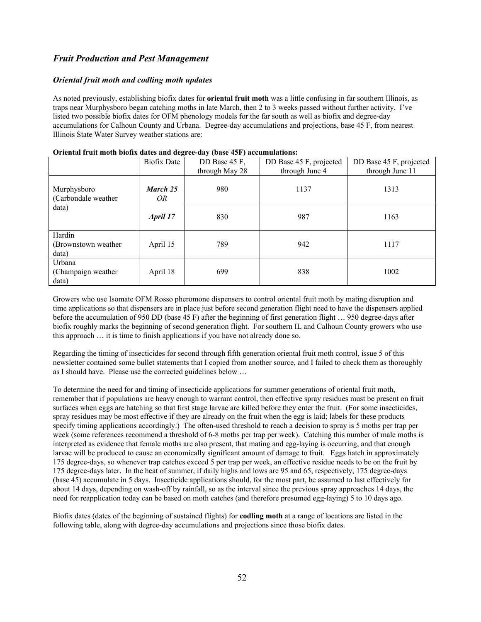# *Fruit Production and Pest Management*

### *Oriental fruit moth and codling moth updates*

As noted previously, establishing biofix dates for **oriental fruit moth** was a little confusing in far southern Illinois, as traps near Murphysboro began catching moths in late March, then 2 to 3 weeks passed without further activity. I've listed two possible biofix dates for OFM phenology models for the far south as well as biofix and degree-day accumulations for Calhoun County and Urbana. Degree-day accumulations and projections, base 45 F, from nearest Illinois State Water Survey weather stations are:

| Oriental if all moth biona aates and acgree aay (base Ter ) accumulations. |                 |                |                         |                         |
|----------------------------------------------------------------------------|-----------------|----------------|-------------------------|-------------------------|
|                                                                            | Biofix Date     | DD Base 45 F,  | DD Base 45 F, projected | DD Base 45 F, projected |
|                                                                            |                 | through May 28 | through June 4          | through June 11         |
| Murphysboro<br>(Carbondale weather)                                        | March 25<br>OR. | 980            | 1137                    | 1313                    |
| data)                                                                      | April 17        | 830            | 987                     | 1163                    |
| Hardin<br>(Brownstown weather)<br>data)                                    | April 15        | 789            | 942                     | 1117                    |
| Urbana<br>(Champaign weather)<br>data)                                     | April 18        | 699            | 838                     | 1002                    |

| Oriental fruit moth biofix dates and degree-day (base 45F) accumulations: |  |  |
|---------------------------------------------------------------------------|--|--|
|                                                                           |  |  |

Growers who use Isomate OFM Rosso pheromone dispensers to control oriental fruit moth by mating disruption and time applications so that dispensers are in place just before second generation flight need to have the dispensers applied before the accumulation of 950 DD (base 45 F) after the beginning of first generation flight … 950 degree-days after biofix roughly marks the beginning of second generation flight. For southern IL and Calhoun County growers who use this approach … it is time to finish applications if you have not already done so.

Regarding the timing of insecticides for second through fifth generation oriental fruit moth control, issue 5 of this newsletter contained some bullet statements that I copied from another source, and I failed to check them as thoroughly as I should have. Please use the corrected guidelines below …

To determine the need for and timing of insecticide applications for summer generations of oriental fruit moth, remember that if populations are heavy enough to warrant control, then effective spray residues must be present on fruit surfaces when eggs are hatching so that first stage larvae are killed before they enter the fruit. (For some insecticides, spray residues may be most effective if they are already on the fruit when the egg is laid; labels for these products specify timing applications accordingly.) The often-used threshold to reach a decision to spray is 5 moths per trap per week (some references recommend a threshold of 6-8 moths per trap per week). Catching this number of male moths is interpreted as evidence that female moths are also present, that mating and egg-laying is occurring, and that enough larvae will be produced to cause an economically significant amount of damage to fruit. Eggs hatch in approximately 175 degree-days, so whenever trap catches exceed 5 per trap per week, an effective residue needs to be on the fruit by 175 degree-days later. In the heat of summer, if daily highs and lows are 95 and 65, respectively, 175 degree-days (base 45) accumulate in 5 days. Insecticide applications should, for the most part, be assumed to last effectively for about 14 days, depending on wash-off by rainfall, so as the interval since the previous spray approaches 14 days, the need for reapplication today can be based on moth catches (and therefore presumed egg-laying) 5 to 10 days ago.

Biofix dates (dates of the beginning of sustained flights) for **codling moth** at a range of locations are listed in the following table, along with degree-day accumulations and projections since those biofix dates.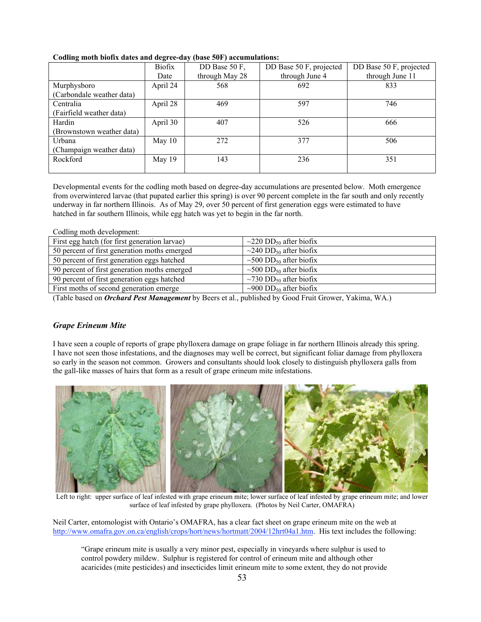| $\overline{\phantom{a}}$  | <b>Biofix</b> | DD Base 50 F,  | DD Base 50 F, projected | DD Base 50 F, projected |
|---------------------------|---------------|----------------|-------------------------|-------------------------|
|                           | Date          | through May 28 | through June 4          | through June 11         |
| Murphysboro               | April 24      | 568            | 692                     | 833                     |
| (Carbondale weather data) |               |                |                         |                         |
| Centralia                 | April 28      | 469            | 597                     | 746                     |
| (Fairfield weather data)  |               |                |                         |                         |
| Hardin                    | April 30      | 407            | 526                     | 666                     |
| (Brownstown weather data) |               |                |                         |                         |
| Urbana                    | May $10$      | 272            | 377                     | 506                     |
| (Champaign weather data)  |               |                |                         |                         |
| Rockford                  | May $19$      | 143            | 236                     | 351                     |
|                           |               |                |                         |                         |

#### **Codling moth biofix dates and degree-day (base 50F) accumulations:**

Developmental events for the codling moth based on degree-day accumulations are presented below. Moth emergence from overwintered larvae (that pupated earlier this spring) is over 90 percent complete in the far south and only recently underway in far northern Illinois. As of May 29, over 50 percent of first generation eggs were estimated to have hatched in far southern Illinois, while egg hatch was yet to begin in the far north.

| Codling moth development:                     |                                          |  |  |
|-----------------------------------------------|------------------------------------------|--|--|
| First egg hatch (for first generation larvae) | $\sim$ 220 DD <sub>50</sub> after biofix |  |  |
| 50 percent of first generation moths emerged  | $\sim$ 240 DD <sub>50</sub> after biofix |  |  |
| 50 percent of first generation eggs hatched   | $\sim$ 500 DD <sub>50</sub> after biofix |  |  |
| 90 percent of first generation moths emerged  | $\sim$ 500 DD <sub>50</sub> after biofix |  |  |
| 90 percent of first generation eggs hatched   | ~730 DD <sub>50</sub> after biofix       |  |  |
| First moths of second generation emerge       | ~900 DD <sub>50</sub> after biofix       |  |  |

(Table based on *Orchard Pest Management* by Beers et al., published by Good Fruit Grower, Yakima, WA.)

#### *Grape Erineum Mite*

I have seen a couple of reports of grape phylloxera damage on grape foliage in far northern Illinois already this spring. I have not seen those infestations, and the diagnoses may well be correct, but significant foliar damage from phylloxera so early in the season not common. Growers and consultants should look closely to distinguish phylloxera galls from the gall-like masses of hairs that form as a result of grape erineum mite infestations.



 Left to right: upper surface of leaf infested with grape erineum mite; lower surface of leaf infested by grape erineum mite; and lower surface of leaf infested by grape phylloxera. (Photos by Neil Carter, OMAFRA)

Neil Carter, entomologist with Ontario's OMAFRA, has a clear fact sheet on grape erineum mite on the web at http://www.omafra.gov.on.ca/english/crops/hort/news/hortmatt/2004/12hrt04a1.htm. His text includes the following:

"Grape erineum mite is usually a very minor pest, especially in vineyards where sulphur is used to control powdery mildew. Sulphur is registered for control of erineum mite and although other acaricides (mite pesticides) and insecticides limit erineum mite to some extent, they do not provide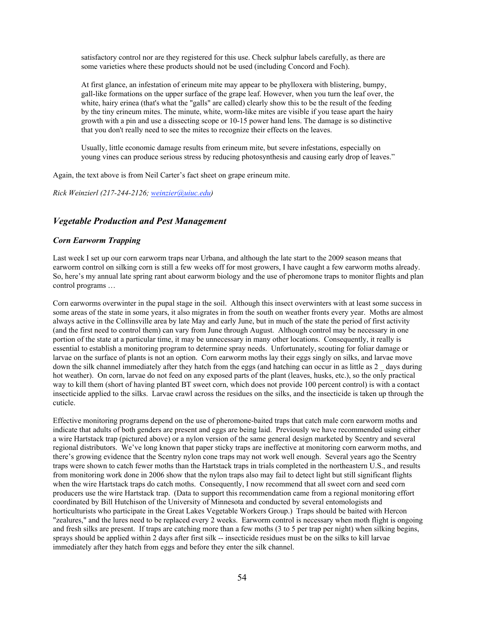satisfactory control nor are they registered for this use. Check sulphur labels carefully, as there are some varieties where these products should not be used (including Concord and Foch).

At first glance, an infestation of erineum mite may appear to be phylloxera with blistering, bumpy, gall-like formations on the upper surface of the grape leaf. However, when you turn the leaf over, the white, hairy erinea (that's what the "galls" are called) clearly show this to be the result of the feeding by the tiny erineum mites. The minute, white, worm-like mites are visible if you tease apart the hairy growth with a pin and use a dissecting scope or 10-15 power hand lens. The damage is so distinctive that you don't really need to see the mites to recognize their effects on the leaves.

Usually, little economic damage results from erineum mite, but severe infestations, especially on young vines can produce serious stress by reducing photosynthesis and causing early drop of leaves."

Again, the text above is from Neil Carter's fact sheet on grape erineum mite.

*Rick Weinzierl (217-244-2126; weinzier@uiuc.edu)*

#### *Vegetable Production and Pest Management*

#### *Corn Earworm Trapping*

Last week I set up our corn earworm traps near Urbana, and although the late start to the 2009 season means that earworm control on silking corn is still a few weeks off for most growers, I have caught a few earworm moths already. So, here's my annual late spring rant about earworm biology and the use of pheromone traps to monitor flights and plan control programs …

Corn earworms overwinter in the pupal stage in the soil. Although this insect overwinters with at least some success in some areas of the state in some years, it also migrates in from the south on weather fronts every year. Moths are almost always active in the Collinsville area by late May and early June, but in much of the state the period of first activity (and the first need to control them) can vary from June through August. Although control may be necessary in one portion of the state at a particular time, it may be unnecessary in many other locations. Consequently, it really is essential to establish a monitoring program to determine spray needs. Unfortunately, scouting for foliar damage or larvae on the surface of plants is not an option. Corn earworm moths lay their eggs singly on silks, and larvae move down the silk channel immediately after they hatch from the eggs (and hatching can occur in as little as 2 days during hot weather). On corn, larvae do not feed on any exposed parts of the plant (leaves, husks, etc.), so the only practical way to kill them (short of having planted BT sweet corn, which does not provide 100 percent control) is with a contact insecticide applied to the silks. Larvae crawl across the residues on the silks, and the insecticide is taken up through the cuticle.

Effective monitoring programs depend on the use of pheromone-baited traps that catch male corn earworm moths and indicate that adults of both genders are present and eggs are being laid. Previously we have recommended using either a wire Hartstack trap (pictured above) or a nylon version of the same general design marketed by Scentry and several regional distributors. We've long known that paper sticky traps are ineffective at monitoring corn earworm moths, and there's growing evidence that the Scentry nylon cone traps may not work well enough. Several years ago the Scentry traps were shown to catch fewer moths than the Hartstack traps in trials completed in the northeastern U.S., and results from monitoring work done in 2006 show that the nylon traps also may fail to detect light but still significant flights when the wire Hartstack traps do catch moths. Consequently, I now recommend that all sweet corn and seed corn producers use the wire Hartstack trap. (Data to support this recommendation came from a regional monitoring effort coordinated by Bill Hutchison of the University of Minnesota and conducted by several entomologists and horticulturists who participate in the Great Lakes Vegetable Workers Group.) Traps should be baited with Hercon "zealures," and the lures need to be replaced every 2 weeks. Earworm control is necessary when moth flight is ongoing and fresh silks are present. If traps are catching more than a few moths (3 to 5 per trap per night) when silking begins, sprays should be applied within 2 days after first silk -- insecticide residues must be on the silks to kill larvae immediately after they hatch from eggs and before they enter the silk channel.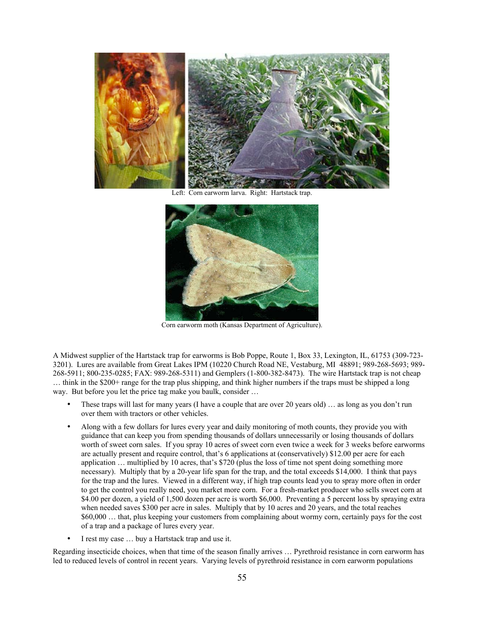

Left: Corn earworm larva. Right: Hartstack trap.



Corn earworm moth (Kansas Department of Agriculture).

A Midwest supplier of the Hartstack trap for earworms is Bob Poppe, Route 1, Box 33, Lexington, IL, 61753 (309-723- 3201). Lures are available from Great Lakes IPM (10220 Church Road NE, Vestaburg, MI 48891; 989-268-5693; 989- 268-5911; 800-235-0285; FAX: 989-268-5311) and Gemplers (1-800-382-8473). The wire Hartstack trap is not cheap … think in the \$200+ range for the trap plus shipping, and think higher numbers if the traps must be shipped a long way. But before you let the price tag make you baulk, consider …

- These traps will last for many years (I have a couple that are over 20 years old) … as long as you don't run over them with tractors or other vehicles.
- Along with a few dollars for lures every year and daily monitoring of moth counts, they provide you with guidance that can keep you from spending thousands of dollars unnecessarily or losing thousands of dollars worth of sweet corn sales. If you spray 10 acres of sweet corn even twice a week for 3 weeks before earworms are actually present and require control, that's 6 applications at (conservatively) \$12.00 per acre for each application … multiplied by 10 acres, that's \$720 (plus the loss of time not spent doing something more necessary). Multiply that by a 20-year life span for the trap, and the total exceeds \$14,000. I think that pays for the trap and the lures. Viewed in a different way, if high trap counts lead you to spray more often in order to get the control you really need, you market more corn. For a fresh-market producer who sells sweet corn at \$4.00 per dozen, a yield of 1,500 dozen per acre is worth \$6,000. Preventing a 5 percent loss by spraying extra when needed saves \$300 per acre in sales. Multiply that by 10 acres and 20 years, and the total reaches \$60,000 … that, plus keeping your customers from complaining about wormy corn, certainly pays for the cost of a trap and a package of lures every year.
- I rest my case ... buy a Hartstack trap and use it.

Regarding insecticide choices, when that time of the season finally arrives … Pyrethroid resistance in corn earworm has led to reduced levels of control in recent years. Varying levels of pyrethroid resistance in corn earworm populations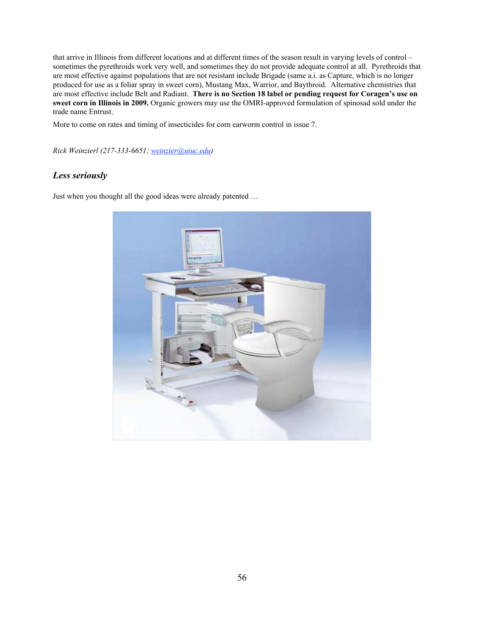that arrive in Illinois from different locations and at different times of the season result in varying levels of control – sometimes the pyrethroids work very well, and sometimes they do not provide adequate control at all. Pyrethroids that are most effective against populations that are not resistant include Brigade (same a.i. as Capture, which is no longer produced for use as a foliar spray in sweet corn), Mustang Max, Warrior, and Baythroid. Alternative chemistries that are most effective include Belt and Radiant. **There is no Section 18 label or pending request for Coragen's use on sweet corn in Illinois in 2009.** Organic growers may use the OMRI-approved formulation of spinosad sold under the trade name Entrust.

More to come on rates and timing of insecticides for corn earworm control in issue 7.

*Rick Weinzierl (217-333-6651; weinzier@uiuc.edu)*

## *Less seriously*

Just when you thought all the good ideas were already patented …

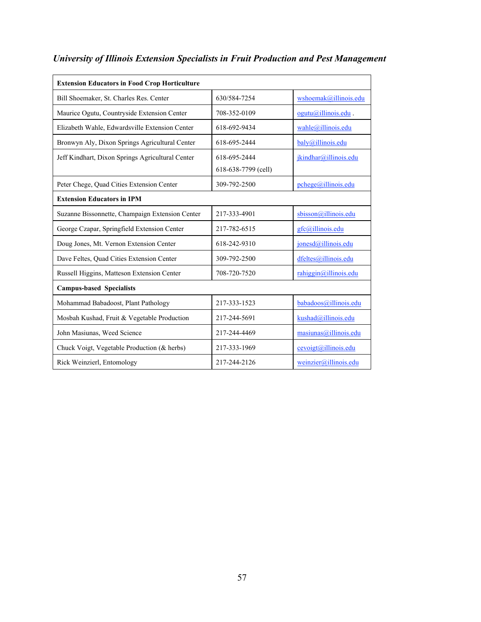| <b>Extension Educators in Food Crop Horticulture</b> |                     |                        |  |  |  |
|------------------------------------------------------|---------------------|------------------------|--|--|--|
| Bill Shoemaker, St. Charles Res. Center              | 630/584-7254        | wshoemak@illinois.edu  |  |  |  |
| Maurice Ogutu, Countryside Extension Center          | 708-352-0109        | $o$ gutu@illinois.edu. |  |  |  |
| Elizabeth Wahle, Edwardsville Extension Center       | 618-692-9434        | wahle@illinois.edu     |  |  |  |
| Bronwyn Aly, Dixon Springs Agricultural Center       | 618-695-2444        | baly@illinois.edu      |  |  |  |
| Jeff Kindhart, Dixon Springs Agricultural Center     | 618-695-2444        | jkindhar@illinois.edu  |  |  |  |
|                                                      | 618-638-7799 (cell) |                        |  |  |  |
| Peter Chege, Quad Cities Extension Center            | 309-792-2500        | pehege@illinois.edu    |  |  |  |
| <b>Extension Educators in IPM</b>                    |                     |                        |  |  |  |
| Suzanne Bissonnette, Champaign Extension Center      | 217-333-4901        | sbisson@illinois.edu   |  |  |  |
| George Czapar, Springfield Extension Center          | 217-782-6515        | gfc@illinois.edu       |  |  |  |
| Doug Jones, Mt. Vernon Extension Center              | 618-242-9310        | jonesd@illinois.edu    |  |  |  |
| Dave Feltes, Quad Cities Extension Center            | 309-792-2500        | dfeltes@illinois.edu   |  |  |  |
| Russell Higgins, Matteson Extension Center           | 708-720-7520        | rahiggin@illinois.edu  |  |  |  |
| <b>Campus-based Specialists</b>                      |                     |                        |  |  |  |
| Mohammad Babadoost, Plant Pathology                  | 217-333-1523        | babadoos@illinois.edu  |  |  |  |
| Mosbah Kushad, Fruit & Vegetable Production          | 217-244-5691        | kushad@illinois.edu    |  |  |  |
| John Masiunas, Weed Science                          | 217-244-4469        | masiunas@illinois.edu  |  |  |  |
| Chuck Voigt, Vegetable Production (& herbs)          | 217-333-1969        | cevoigt@illinois.edu   |  |  |  |
| Rick Weinzierl, Entomology                           | 217-244-2126        | weinzier@illinois.edu  |  |  |  |

# *University of Illinois Extension Specialists in Fruit Production and Pest Management*